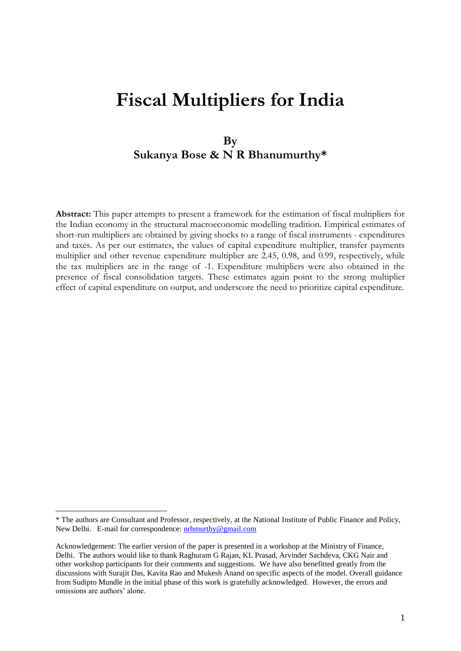# **Fiscal Multipliers for India**

# **By Sukanya Bose & N R Bhanumurthy\***

**Abstract:** This paper attempts to present a framework for the estimation of fiscal multipliers for the Indian economy in the structural macroeconomic modelling tradition. Empirical estimates of short-run multipliers are obtained by giving shocks to a range of fiscal instruments - expenditures and taxes. As per our estimates, the values of capital expenditure multiplier, transfer payments multiplier and other revenue expenditure multiplier are 2.45, 0.98, and 0.99, respectively, while the tax multipliers are in the range of -1. Expenditure multipliers were also obtained in the presence of fiscal consolidation targets. These estimates again point to the strong multiplier effect of capital expenditure on output, and underscore the need to prioritize capital expenditure.

<sup>\*</sup> The authors are Consultant and Professor, respectively, at the National Institute of Public Finance and Policy, New Delhi. E-mail for correspondence: [nrbmurthy@gmail.com](mailto:nrbmurthy@gmail.com)

Acknowledgement: The earlier version of the paper is presented in a workshop at the Ministry of Finance, Delhi. The authors would like to thank Raghuram G Rajan, KL Prasad, Arvinder Sachdeva, CKG Nair and other workshop participants for their comments and suggestions. We have also benefitted greatly from the discussions with Surajit Das, Kavita Rao and Mukesh Anand on specific aspects of the model. Overall guidance from Sudipto Mundle in the initial phase of this work is gratefully acknowledged. However, the errors and omissions are authors' alone.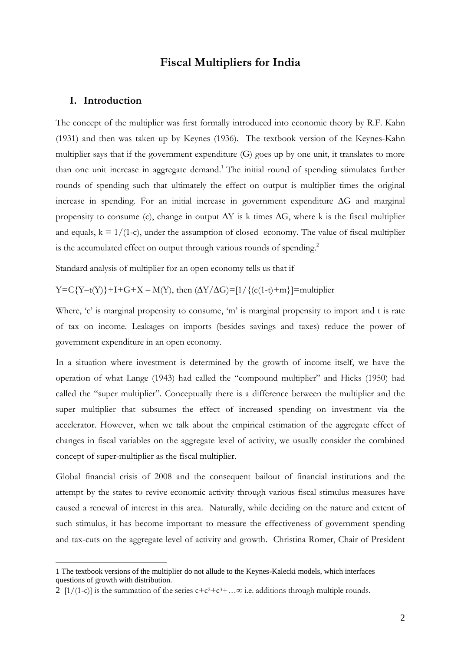# **Fiscal Multipliers for India**

#### **I. Introduction**

1

The concept of the multiplier was first formally introduced into economic theory by R.F. Kahn (1931) and then was taken up by Keynes (1936). The textbook version of the Keynes-Kahn multiplier says that if the government expenditure (G) goes up by one unit, it translates to more than one unit increase in aggregate demand.<sup>1</sup> The initial round of spending stimulates further rounds of spending such that ultimately the effect on output is multiplier times the original increase in spending. For an initial increase in government expenditure ∆G and marginal propensity to consume (c), change in output  $\Delta Y$  is k times  $\Delta G$ , where k is the fiscal multiplier and equals,  $k = 1/(1-c)$ , under the assumption of closed economy. The value of fiscal multiplier is the accumulated effect on output through various rounds of spending.<sup>2</sup>

Standard analysis of multiplier for an open economy tells us that if

 $Y=C{Y-t(Y)}+I+G+X-M(Y)$ , then  $(\Delta Y/\Delta G)=\left[1/\left\{ (c(1-t)+m) \right\} \right]=$ multiplier

Where, 'c' is marginal propensity to consume, 'm' is marginal propensity to import and t is rate of tax on income. Leakages on imports (besides savings and taxes) reduce the power of government expenditure in an open economy.

In a situation where investment is determined by the growth of income itself, we have the operation of what Lange (1943) had called the "compound multiplier" and Hicks (1950) had called the "super multiplier". Conceptually there is a difference between the multiplier and the super multiplier that subsumes the effect of increased spending on investment via the accelerator. However, when we talk about the empirical estimation of the aggregate effect of changes in fiscal variables on the aggregate level of activity, we usually consider the combined concept of super-multiplier as the fiscal multiplier.

Global financial crisis of 2008 and the consequent bailout of financial institutions and the attempt by the states to revive economic activity through various fiscal stimulus measures have caused a renewal of interest in this area. Naturally, while deciding on the nature and extent of such stimulus, it has become important to measure the effectiveness of government spending and tax-cuts on the aggregate level of activity and growth. Christina Romer, Chair of President

<sup>1</sup> The textbook versions of the multiplier do not allude to the Keynes-Kalecki models, which interfaces questions of growth with distribution.

<sup>2</sup>  $[1/(1-c)]$  is the summation of the series  $c+c^2+c^3+\dots\infty$  i.e. additions through multiple rounds.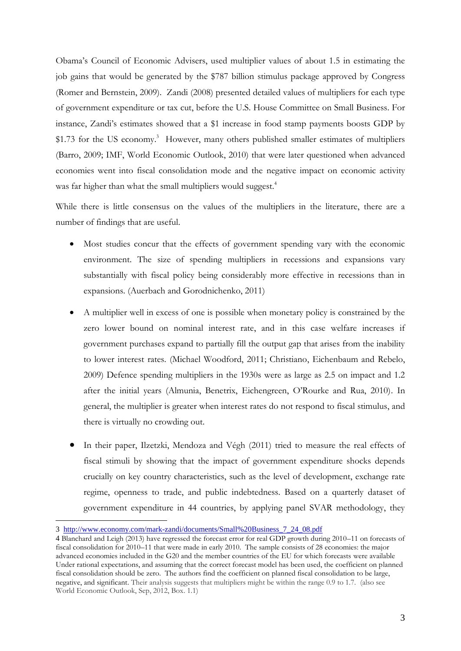Obama"s Council of Economic Advisers, used multiplier values of about 1.5 in estimating the job gains that would be generated by the \$787 billion stimulus package approved by Congress (Romer and Bernstein, 2009). Zandi (2008) presented detailed values of multipliers for each type of government expenditure or tax cut, before the U.S. House Committee on Small Business. For instance, Zandi"s estimates showed that a \$1 increase in food stamp payments boosts GDP by \$1.73 for the US economy.<sup>3</sup> However, many others published smaller estimates of multipliers (Barro, 2009; IMF, World Economic Outlook, 2010) that were later questioned when advanced economies went into fiscal consolidation mode and the negative impact on economic activity was far higher than what the small multipliers would suggest.<sup>4</sup>

While there is little consensus on the values of the multipliers in the literature, there are a number of findings that are useful.

- Most studies concur that the effects of government spending vary with the economic environment. The size of spending multipliers in recessions and expansions vary substantially with fiscal policy being considerably more effective in recessions than in expansions. (Auerbach and Gorodnichenko, 2011)
- A multiplier well in excess of one is possible when monetary policy is constrained by the zero lower bound on nominal interest rate, and in this case welfare increases if government purchases expand to partially fill the output gap that arises from the inability to lower interest rates. (Michael Woodford, 2011; Christiano, Eichenbaum and Rebelo, 2009) Defence spending multipliers in the 1930s were as large as 2.5 on impact and 1.2 after the initial years (Almunia, Benetrix, Eichengreen, O"Rourke and Rua, 2010). In general, the multiplier is greater when interest rates do not respond to fiscal stimulus, and there is virtually no crowding out.
- In their paper, Ilzetzki, Mendoza and Végh (2011) tried to measure the real effects of fiscal stimuli by showing that the impact of government expenditure shocks depends crucially on key country characteristics, such as the level of development, exchange rate regime, openness to trade, and public indebtedness. Based on a quarterly dataset of government expenditure in 44 countries, by applying panel SVAR methodology, they

<u>.</u>

<sup>3</sup> [http://www.economy.com/mark-zandi/documents/Small%20Business\\_7\\_24\\_08.pdf](http://www.economy.com/mark-zandi/documents/Small%20Business_7_24_08.pdf)

<sup>4</sup> Blanchard and Leigh (2013) have regressed the forecast error for real GDP growth during 2010–11 on forecasts of fiscal consolidation for 2010–11 that were made in early 2010. The sample consists of 28 economies: the major advanced economies included in the G20 and the member countries of the EU for which forecasts were available Under rational expectations, and assuming that the correct forecast model has been used, the coefficient on planned fiscal consolidation should be zero. The authors find the coefficient on planned fiscal consolidation to be large, negative, and significant. Their analysis suggests that multipliers might be within the range 0.9 to 1.7. (also see World Economic Outlook, Sep, 2012, Box. 1.1)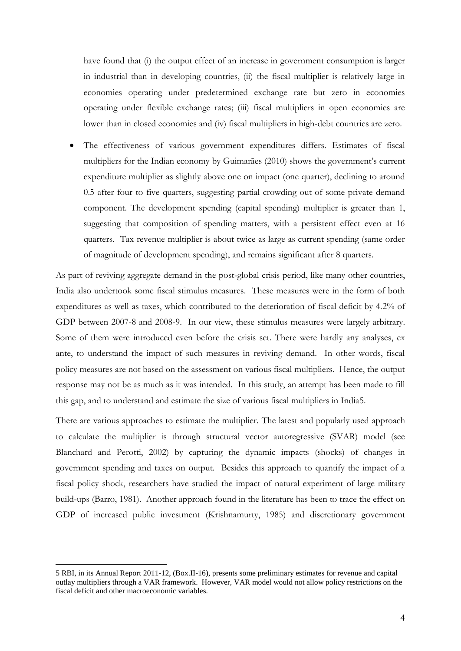have found that (i) the output effect of an increase in government consumption is larger in industrial than in developing countries, (ii) the fiscal multiplier is relatively large in economies operating under predetermined exchange rate but zero in economies operating under flexible exchange rates; (iii) fiscal multipliers in open economies are lower than in closed economies and (iv) fiscal multipliers in high-debt countries are zero.

 The effectiveness of various government expenditures differs. Estimates of fiscal multipliers for the Indian economy by Guimarães (2010) shows the government's current expenditure multiplier as slightly above one on impact (one quarter), declining to around 0.5 after four to five quarters, suggesting partial crowding out of some private demand component. The development spending (capital spending) multiplier is greater than 1, suggesting that composition of spending matters, with a persistent effect even at 16 quarters. Tax revenue multiplier is about twice as large as current spending (same order of magnitude of development spending), and remains significant after 8 quarters.

As part of reviving aggregate demand in the post-global crisis period, like many other countries, India also undertook some fiscal stimulus measures. These measures were in the form of both expenditures as well as taxes, which contributed to the deterioration of fiscal deficit by 4.2% of GDP between 2007-8 and 2008-9. In our view, these stimulus measures were largely arbitrary. Some of them were introduced even before the crisis set. There were hardly any analyses, ex ante, to understand the impact of such measures in reviving demand. In other words, fiscal policy measures are not based on the assessment on various fiscal multipliers. Hence, the output response may not be as much as it was intended. In this study, an attempt has been made to fill this gap, and to understand and estimate the size of various fiscal multipliers in India5.

There are various approaches to estimate the multiplier. The latest and popularly used approach to calculate the multiplier is through structural vector autoregressive (SVAR) model (see Blanchard and Perotti, 2002) by capturing the dynamic impacts (shocks) of changes in government spending and taxes on output. Besides this approach to quantify the impact of a fiscal policy shock, researchers have studied the impact of natural experiment of large military build-ups (Barro, 1981). Another approach found in the literature has been to trace the effect on GDP of increased public investment (Krishnamurty, 1985) and discretionary government

<sup>5</sup> RBI, in its Annual Report 2011-12, (Box.II-16), presents some preliminary estimates for revenue and capital outlay multipliers through a VAR framework. However, VAR model would not allow policy restrictions on the fiscal deficit and other macroeconomic variables.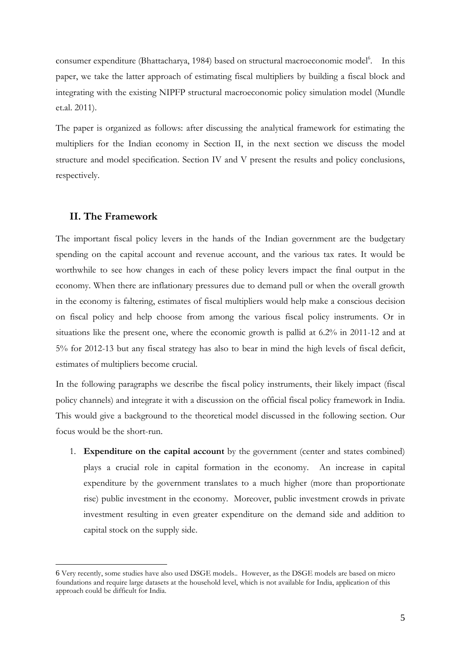consumer expenditure (Bhattacharya, 1984) based on structural macroeconomic model<sup>6</sup>. In this paper, we take the latter approach of estimating fiscal multipliers by building a fiscal block and integrating with the existing NIPFP structural macroeconomic policy simulation model (Mundle et.al. 2011).

The paper is organized as follows: after discussing the analytical framework for estimating the multipliers for the Indian economy in Section II, in the next section we discuss the model structure and model specification. Section IV and V present the results and policy conclusions, respectively.

#### **II. The Framework**

1

The important fiscal policy levers in the hands of the Indian government are the budgetary spending on the capital account and revenue account, and the various tax rates. It would be worthwhile to see how changes in each of these policy levers impact the final output in the economy. When there are inflationary pressures due to demand pull or when the overall growth in the economy is faltering, estimates of fiscal multipliers would help make a conscious decision on fiscal policy and help choose from among the various fiscal policy instruments. Or in situations like the present one, where the economic growth is pallid at 6.2% in 2011-12 and at 5% for 2012-13 but any fiscal strategy has also to bear in mind the high levels of fiscal deficit, estimates of multipliers become crucial.

In the following paragraphs we describe the fiscal policy instruments, their likely impact (fiscal policy channels) and integrate it with a discussion on the official fiscal policy framework in India. This would give a background to the theoretical model discussed in the following section. Our focus would be the short-run.

1. **Expenditure on the capital account** by the government (center and states combined) plays a crucial role in capital formation in the economy. An increase in capital expenditure by the government translates to a much higher (more than proportionate rise) public investment in the economy. Moreover, public investment crowds in private investment resulting in even greater expenditure on the demand side and addition to capital stock on the supply side.

<sup>6</sup> Very recently, some studies have also used DSGE models.. However, as the DSGE models are based on micro foundations and require large datasets at the household level, which is not available for India, application of this approach could be difficult for India.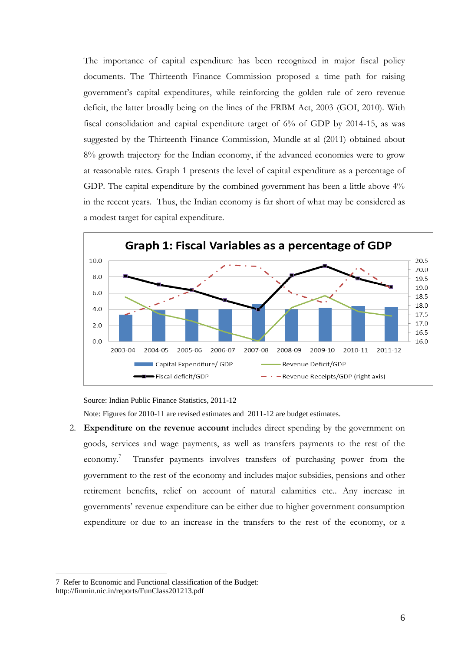The importance of capital expenditure has been recognized in major fiscal policy documents. The Thirteenth Finance Commission proposed a time path for raising government"s capital expenditures, while reinforcing the golden rule of zero revenue deficit, the latter broadly being on the lines of the FRBM Act, 2003 (GOI, 2010). With fiscal consolidation and capital expenditure target of 6% of GDP by 2014-15, as was suggested by the Thirteenth Finance Commission, Mundle at al (2011) obtained about 8% growth trajectory for the Indian economy, if the advanced economies were to grow at reasonable rates. Graph 1 presents the level of capital expenditure as a percentage of GDP. The capital expenditure by the combined government has been a little above  $4\%$ in the recent years. Thus, the Indian economy is far short of what may be considered as a modest target for capital expenditure.



Source: Indian Public Finance Statistics, 2011-12

Note: Figures for 2010-11 are revised estimates and 2011-12 are budget estimates.

2. **Expenditure on the revenue account** includes direct spending by the government on goods, services and wage payments, as well as transfers payments to the rest of the economy. <sup>7</sup> Transfer payments involves transfers of purchasing power from the government to the rest of the economy and includes major subsidies, pensions and other retirement benefits, relief on account of natural calamities etc.. Any increase in governments" revenue expenditure can be either due to higher government consumption expenditure or due to an increase in the transfers to the rest of the economy, or a

<sup>7</sup> Refer to Economic and Functional classification of the Budget: http://finmin.nic.in/reports/FunClass201213.pdf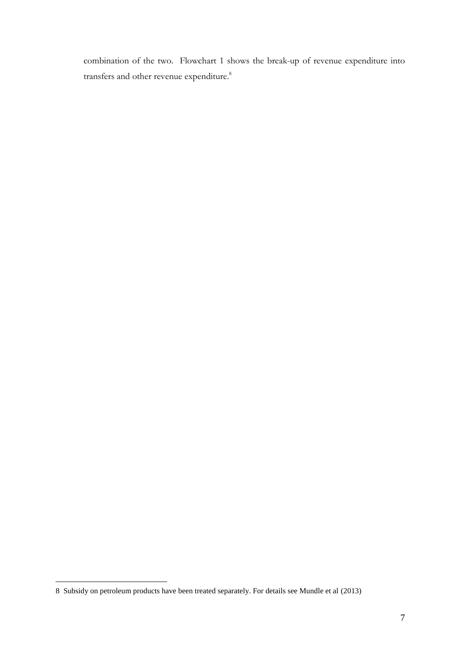combination of the two. Flowchart 1 shows the break-up of revenue expenditure into transfers and other revenue expenditure.<sup>8</sup>

<sup>8</sup> Subsidy on petroleum products have been treated separately. For details see Mundle et al (2013)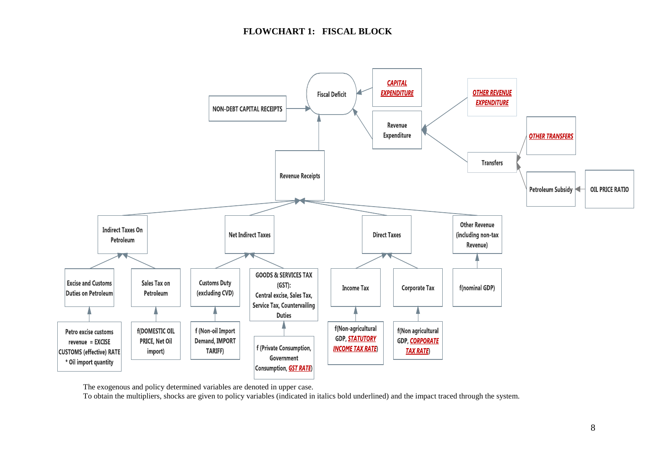

The exogenous and policy determined variables are denoted in upper case.

To obtain the multipliers, shocks are given to policy variables (indicated in italics bold underlined) and the impact traced through the system.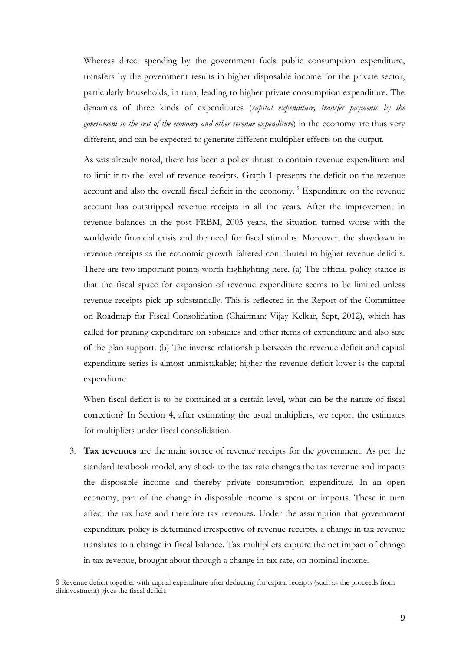Whereas direct spending by the government fuels public consumption expenditure, transfers by the government results in higher disposable income for the private sector, particularly households, in turn, leading to higher private consumption expenditure. The dynamics of three kinds of expenditures (*capital expenditure, transfer payments by the government to the rest of the economy and other revenue expenditure*) in the economy are thus very different, and can be expected to generate different multiplier effects on the output.

As was already noted, there has been a policy thrust to contain revenue expenditure and to limit it to the level of revenue receipts. Graph 1 presents the deficit on the revenue account and also the overall fiscal deficit in the economy. <sup>9</sup> Expenditure on the revenue account has outstripped revenue receipts in all the years. After the improvement in revenue balances in the post FRBM, 2003 years, the situation turned worse with the worldwide financial crisis and the need for fiscal stimulus. Moreover, the slowdown in revenue receipts as the economic growth faltered contributed to higher revenue deficits. There are two important points worth highlighting here. (a) The official policy stance is that the fiscal space for expansion of revenue expenditure seems to be limited unless revenue receipts pick up substantially. This is reflected in the Report of the Committee on Roadmap for Fiscal Consolidation (Chairman: Vijay Kelkar, Sept, 2012), which has called for pruning expenditure on subsidies and other items of expenditure and also size of the plan support. (b) The inverse relationship between the revenue deficit and capital expenditure series is almost unmistakable; higher the revenue deficit lower is the capital expenditure.

When fiscal deficit is to be contained at a certain level, what can be the nature of fiscal correction? In Section 4, after estimating the usual multipliers, we report the estimates for multipliers under fiscal consolidation.

3. **Tax revenues** are the main source of revenue receipts for the government. As per the standard textbook model, any shock to the tax rate changes the tax revenue and impacts the disposable income and thereby private consumption expenditure. In an open economy, part of the change in disposable income is spent on imports. These in turn affect the tax base and therefore tax revenues. Under the assumption that government expenditure policy is determined irrespective of revenue receipts, a change in tax revenue translates to a change in fiscal balance. Tax multipliers capture the net impact of change in tax revenue, brought about through a change in tax rate, on nominal income.

<sup>9</sup> Revenue deficit together with capital expenditure after deducting for capital receipts (such as the proceeds from disinvestment) gives the fiscal deficit.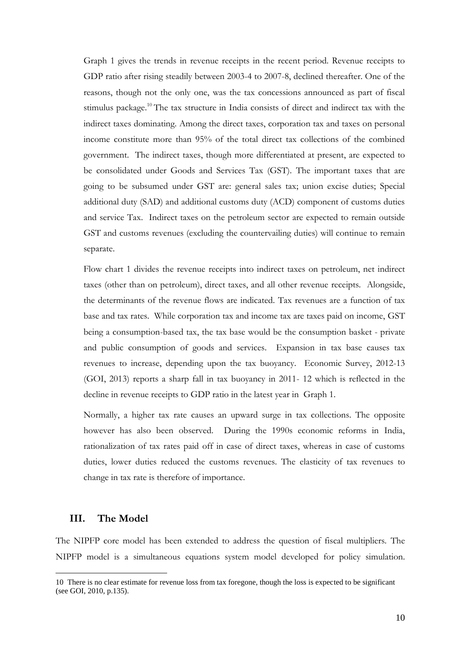Graph 1 gives the trends in revenue receipts in the recent period. Revenue receipts to GDP ratio after rising steadily between 2003-4 to 2007-8, declined thereafter. One of the reasons, though not the only one, was the tax concessions announced as part of fiscal stimulus package.<sup>10</sup> The tax structure in India consists of direct and indirect tax with the indirect taxes dominating. Among the direct taxes, corporation tax and taxes on personal income constitute more than 95% of the total direct tax collections of the combined government. The indirect taxes, though more differentiated at present, are expected to be consolidated under Goods and Services Tax (GST). The important taxes that are going to be subsumed under GST are: general sales tax; union excise duties; Special additional duty (SAD) and additional customs duty (ACD) component of customs duties and service Tax. Indirect taxes on the petroleum sector are expected to remain outside GST and customs revenues (excluding the countervailing duties) will continue to remain separate.

Flow chart 1 divides the revenue receipts into indirect taxes on petroleum, net indirect taxes (other than on petroleum), direct taxes, and all other revenue receipts. Alongside, the determinants of the revenue flows are indicated. Tax revenues are a function of tax base and tax rates. While corporation tax and income tax are taxes paid on income, GST being a consumption-based tax, the tax base would be the consumption basket - private and public consumption of goods and services. Expansion in tax base causes tax revenues to increase, depending upon the tax buoyancy. Economic Survey, 2012-13 (GOI, 2013) reports a sharp fall in tax buoyancy in 2011- 12 which is reflected in the decline in revenue receipts to GDP ratio in the latest year in Graph 1.

Normally, a higher tax rate causes an upward surge in tax collections. The opposite however has also been observed. During the 1990s economic reforms in India, rationalization of tax rates paid off in case of direct taxes, whereas in case of customs duties, lower duties reduced the customs revenues. The elasticity of tax revenues to change in tax rate is therefore of importance.

#### **III. The Model**

1

The NIPFP core model has been extended to address the question of fiscal multipliers. The NIPFP model is a simultaneous equations system model developed for policy simulation.

<sup>10</sup> There is no clear estimate for revenue loss from tax foregone, though the loss is expected to be significant (see GOI, 2010, p.135).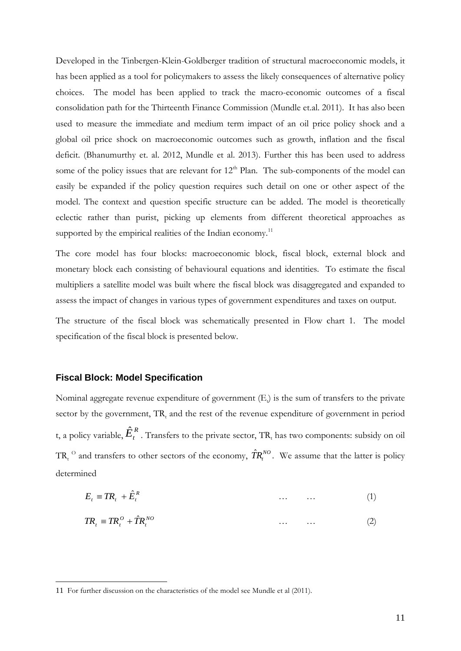Developed in the Tinbergen-Klein-Goldberger tradition of structural macroeconomic models, it has been applied as a tool for policymakers to assess the likely consequences of alternative policy choices. The model has been applied to track the macro-economic outcomes of a fiscal consolidation path for the Thirteenth Finance Commission (Mundle et.al. 2011). It has also been used to measure the immediate and medium term impact of an oil price policy shock and a global oil price shock on macroeconomic outcomes such as growth, inflation and the fiscal deficit. (Bhanumurthy et. al. 2012, Mundle et al. 2013). Further this has been used to address some of the policy issues that are relevant for  $12<sup>th</sup>$  Plan. The sub-components of the model can easily be expanded if the policy question requires such detail on one or other aspect of the model. The context and question specific structure can be added. The model is theoretically eclectic rather than purist, picking up elements from different theoretical approaches as supported by the empirical realities of the Indian economy.<sup>11</sup>

The core model has four blocks: macroeconomic block, fiscal block, external block and monetary block each consisting of behavioural equations and identities. To estimate the fiscal multipliers a satellite model was built where the fiscal block was disaggregated and expanded to assess the impact of changes in various types of government expenditures and taxes on output.

The structure of the fiscal block was schematically presented in Flow chart 1. The model specification of the fiscal block is presented below.

#### **Fiscal Block: Model Specification**

1

Nominal aggregate revenue expenditure of government (E<sub>t</sub>) is the sum of transfers to the private sector by the government,  $TR_t$  and the rest of the revenue expenditure of government in period t, a policy variable,  $\hat{E}^R_t$ . Transfers to the private sector, TR<sub>t</sub> has two components: subsidy on oil TR<sub>t</sub><sup>O</sup> and transfers to other sectors of the economy,  $\hat{T}R_i^{NO}$ . We assume that the latter is policy determined

$$
E_t \equiv TR_t + \hat{E}_t^R \tag{1}
$$

$$
TR_t \equiv TR_t^0 + \hat{T}R_t^{NO}
$$
 (2)

<sup>11</sup> For further discussion on the characteristics of the model see Mundle et al (2011).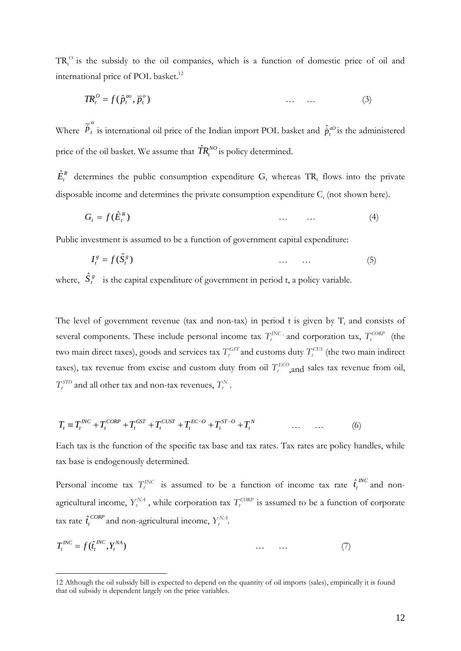$TR<sub>t</sub><sup>O</sup>$  is the subsidy to the oil companies, which is a function of domestic price of oil and international price of POL basket.<sup>12</sup>

$$
TR_t^O = f(\hat{p}_t^{ao}, \overline{p}_t^o) \tag{3}
$$

Where *o*  $\vec{p}_t$  is international oil price of the Indian import POL basket and  $\hat{p}_t^{a0}$  is the administered price of the oil basket. We assume that  $\hat{I}\!R_t^{NO}$  is policy determined.

 $\hat{E}_{t}^{R}$  determines the public consumption expenditure  $G_{t}$  whereas TR<sub>t</sub> flows into the private disposable income and determines the private consumption expenditure  $C_t$  (not shown here).

$$
G_t = f(\hat{E}_t^R) \tag{4}
$$

Public investment is assumed to be a function of government capital expenditure:

$$
I_t^g = f(\hat{S}_t^g) \tag{5}
$$

where,  $\hat{S}_t^g$  is the capital expenditure of government in period t, a policy variable.

The level of government revenue (tax and non-tax) in period t is given by  $T_t$  and consists of several components. These include personal income tax  $T_t^{INC}$  and corporation tax,  $T_t^{CORP}$  (the two main direct taxes), goods and services tax  $T_t^{GT}$  and customs duty  $T_t^{CU}$  (the two main indirect taxes), tax revenue from excise and custom duty from oil  $T_t^{ECO}$ , and sales tax revenue from oil,  $T_t^{STO}$  and all other tax and non-tax revenues,  $T_t^N$ .

$$
T_{t} \equiv T_{t}^{INC} + T_{t}^{CORP} + T_{t}^{GST} + T_{t}^{CUST} + T_{t}^{EC-O} + T_{t}^{ST-O} + T_{t}^{N} \qquad \qquad \dots \qquad \dots \qquad (6)
$$

Each tax is the function of the specific tax base and tax rates. Tax rates are policy handles, while tax base is endogenously determined.

Personal income tax  $T_t^{INC}$  is assumed to be a function of income tax rate  $\hat{t}_t^{INC}$  $\hat{t}$ <sup>*NC*</sup></sup> and nonagricultural income,  $Y_t^{NA}$ , while corporation tax  $T_t^{CORP}$  is assumed to be a function of corporate tax rate  $\hat{t}_t^{CORP}$  $\hat{t}_t^{CORP}$  and non-agricultural income,  $Y_t^{NA}$ .

$$
T_t^{INC} = f(\hat{t}_t^{INC}, Y_t^{NA}) \tag{7}
$$

<sup>12</sup> Although the oil subsidy bill is expected to depend on the quantity of oil imports (sales), empirically it is found that oil subsidy is dependent largely on the price variables.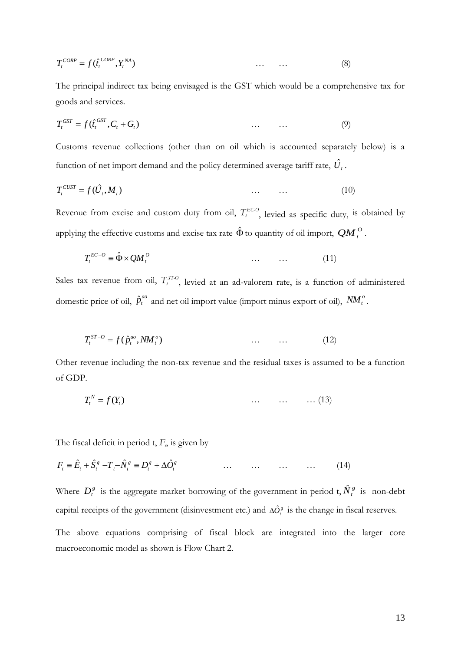$$
T_t^{CORP} = f(\hat{t}_t^{CORP}, Y_t^{NA}) \tag{8}
$$

The principal indirect tax being envisaged is the GST which would be a comprehensive tax for goods and services.

$$
T_t^{\text{GST}} = f(\hat{t}_t^{\text{GST}}, C_t + G_t) \tag{9}
$$

Customs revenue collections (other than on oil which is accounted separately below) is a function of net import demand and the policy determined average tariff rate,  $\hat{U}_t$ .

$$
T_t^{CUST} = f(\hat{U}_t, M_t)
$$
\n
$$
\dots \qquad \dots \qquad (10)
$$

Revenue from excise and custom duty from oil,  $T_t^{ECO}$ , levied as specific duty, is obtained by applying the effective customs and excise tax rate  $\hat{\Phi}$  to quantity of oil import,  $\mathcal{QM}^{\,O}_{t}$  .

$$
T_t^{EC-O} \equiv \hat{\Phi} \times QM_t^O \qquad \qquad \dots \qquad \dots \tag{11}
$$

(*i*<sup>1366</sup>, 12<sup>86</sup>)<br>
13 indered us being envisaged is the GST which would be a comprehensive tax for  $\theta_i^{1/36}$ ,  $C_i + G_i$ )<br>
13 indered us being envisaged is the GST which would be a comprehensive tax for<br>
treevence collec Sales tax revenue from oil,  $T_t^{STO}$ , levied at an ad-valorem rate, is a function of administered domestic price of oil,  $\hat{p}^{ao}_t$  and net oil import value (import minus export of oil),  $NM_t^o$ .

$$
T_t^{ST-O} = f(\hat{p}_t^{ao}, NM_t^o) \tag{12}
$$

Other revenue including the non-tax revenue and the residual taxes is assumed to be a function of GDP.

$$
T_t^N = f(Y_t) \tag{13}
$$

The fiscal deficit in period  $t$ ,  $F<sub>\rho</sub>$  is given by

$$
F_t \equiv \hat{E}_t + \hat{S}_t^g - T_t - \hat{N}_t^g \equiv D_t^g + \Delta \hat{O}_t^g \qquad \qquad \dots \qquad \dots \qquad \dots \qquad \dots \qquad (14)
$$

Where  $D_t^s$  is the aggregate market borrowing of the government in period t,  $\hat{N}_t^s$  is non-debt capital receipts of the government (disinvestment etc.) and  $\Delta \hat{O}^s$  is the change in fiscal reserves.

The above equations comprising of fiscal block are integrated into the larger core macroeconomic model as shown is Flow Chart 2.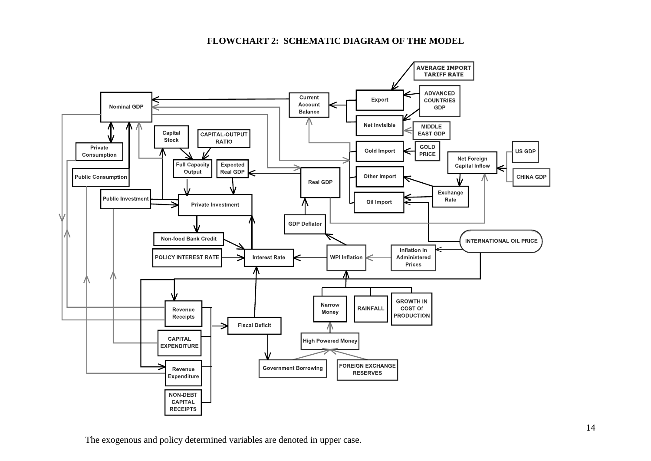## **FLOWCHART 2: SCHEMATIC DIAGRAM OF THE MODEL**



The exogenous and policy determined variables are denoted in upper case.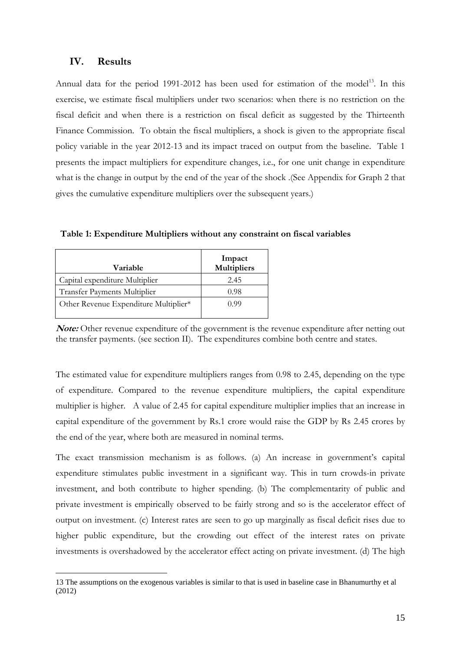## **IV. Results**

1

Annual data for the period 1991-2012 has been used for estimation of the model<sup>13</sup>. In this exercise, we estimate fiscal multipliers under two scenarios: when there is no restriction on the fiscal deficit and when there is a restriction on fiscal deficit as suggested by the Thirteenth Finance Commission. To obtain the fiscal multipliers, a shock is given to the appropriate fiscal policy variable in the year 2012-13 and its impact traced on output from the baseline. Table 1 presents the impact multipliers for expenditure changes, i.e., for one unit change in expenditure what is the change in output by the end of the year of the shock .(See Appendix for Graph 2 that gives the cumulative expenditure multipliers over the subsequent years.)

**Table 1: Expenditure Multipliers without any constraint on fiscal variables**

| Variable                              | Impact<br><b>Multipliers</b> |
|---------------------------------------|------------------------------|
| Capital expenditure Multiplier        | 2.45                         |
| <b>Transfer Payments Multiplier</b>   | 0.98                         |
| Other Revenue Expenditure Multiplier* | 0.99                         |

**Note:** Other revenue expenditure of the government is the revenue expenditure after netting out the transfer payments. (see section II). The expenditures combine both centre and states.

The estimated value for expenditure multipliers ranges from 0.98 to 2.45, depending on the type of expenditure. Compared to the revenue expenditure multipliers, the capital expenditure multiplier is higher. A value of 2.45 for capital expenditure multiplier implies that an increase in capital expenditure of the government by Rs.1 crore would raise the GDP by Rs 2.45 crores by the end of the year, where both are measured in nominal terms.

The exact transmission mechanism is as follows. (a) An increase in government's capital expenditure stimulates public investment in a significant way. This in turn crowds-in private investment, and both contribute to higher spending. (b) The complementarity of public and private investment is empirically observed to be fairly strong and so is the accelerator effect of output on investment. (c) Interest rates are seen to go up marginally as fiscal deficit rises due to higher public expenditure, but the crowding out effect of the interest rates on private investments is overshadowed by the accelerator effect acting on private investment. (d) The high

<sup>13</sup> The assumptions on the exogenous variables is similar to that is used in baseline case in Bhanumurthy et al (2012)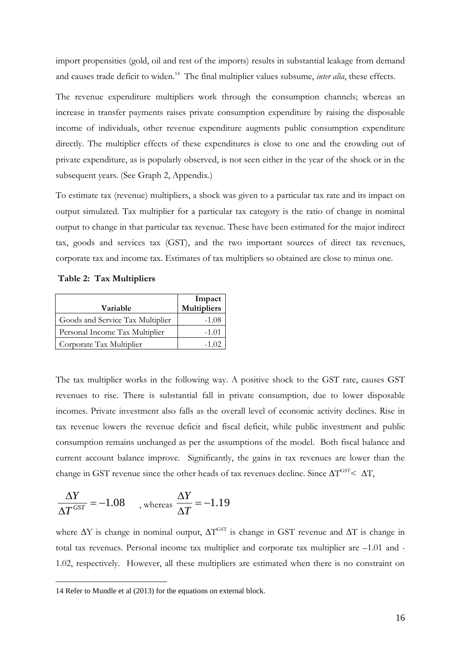import propensities (gold, oil and rest of the imports) results in substantial leakage from demand and causes trade deficit to widen.<sup>14</sup> The final multiplier values subsume, *inter alia*, these effects.

The revenue expenditure multipliers work through the consumption channels; whereas an increase in transfer payments raises private consumption expenditure by raising the disposable income of individuals, other revenue expenditure augments public consumption expenditure directly. The multiplier effects of these expenditures is close to one and the crowding out of private expenditure, as is popularly observed, is not seen either in the year of the shock or in the subsequent years. (See Graph 2, Appendix.)

To estimate tax (revenue) multipliers, a shock was given to a particular tax rate and its impact on output simulated. Tax multiplier for a particular tax category is the ratio of change in nominal output to change in that particular tax revenue. These have been estimated for the major indirect tax, goods and services tax (GST), and the two important sources of direct tax revenues, corporate tax and income tax. Estimates of tax multipliers so obtained are close to minus one.

**Table 2: Tax Multipliers** 

| Variable                         | Impact<br>Multipliers |
|----------------------------------|-----------------------|
| Goods and Service Tax Multiplier | -1.08                 |
| Personal Income Tax Multiplier   | $-1.01$               |
| Corporate Tax Multiplier         | $-1.02$               |

The tax multiplier works in the following way. A positive shock to the GST rate, causes GST revenues to rise. There is substantial fall in private consumption, due to lower disposable incomes. Private investment also falls as the overall level of economic activity declines. Rise in tax revenue lowers the revenue deficit and fiscal deficit, while public investment and public consumption remains unchanged as per the assumptions of the model. Both fiscal balance and current account balance improve. Significantly, the gains in tax revenues are lower than the change in GST revenue since the other heads of tax revenues decline. Since  $\Delta T^{\text{GST}}$  <  $\Delta T$ ,

$$
\frac{\Delta Y}{\Delta T^{GST}} = -1.08 \quad , \text{whereas } \frac{\Delta Y}{\Delta T} = -1.19
$$

1

where  $\Delta Y$  is change in nominal output,  $\Delta T^{\text{GST}}$  is change in GST revenue and  $\Delta T$  is change in total tax revenues. Personal income tax multiplier and corporate tax multiplier are –1.01 and - 1.02, respectively. However, all these multipliers are estimated when there is no constraint on

<sup>14</sup> Refer to Mundle et al (2013) for the equations on external block.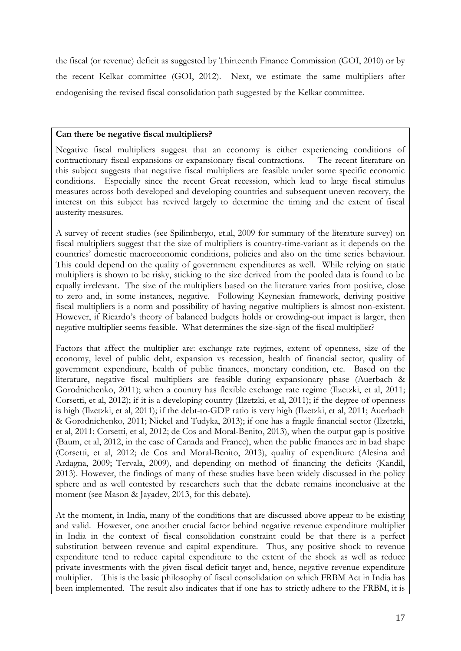the fiscal (or revenue) deficit as suggested by Thirteenth Finance Commission (GOI, 2010) or by the recent Kelkar committee (GOI, 2012). Next, we estimate the same multipliers after endogenising the revised fiscal consolidation path suggested by the Kelkar committee.

#### **Can there be negative fiscal multipliers?**

Negative fiscal multipliers suggest that an economy is either experiencing conditions of contractionary fiscal expansions or expansionary fiscal contractions. The recent literature on this subject suggests that negative fiscal multipliers are feasible under some specific economic conditions. Especially since the recent Great recession, which lead to large fiscal stimulus measures across both developed and developing countries and subsequent uneven recovery, the interest on this subject has revived largely to determine the timing and the extent of fiscal austerity measures.

A survey of recent studies (see Spilimbergo, et.al, 2009 for summary of the literature survey) on fiscal multipliers suggest that the size of multipliers is country-time-variant as it depends on the countries" domestic macroeconomic conditions, policies and also on the time series behaviour. This could depend on the quality of government expenditures as well. While relying on static multipliers is shown to be risky, sticking to the size derived from the pooled data is found to be equally irrelevant. The size of the multipliers based on the literature varies from positive, close to zero and, in some instances, negative. Following Keynesian framework, deriving positive fiscal multipliers is a norm and possibility of having negative multipliers is almost non-existent. However, if Ricardo"s theory of balanced budgets holds or crowding-out impact is larger, then negative multiplier seems feasible. What determines the size-sign of the fiscal multiplier?

Factors that affect the multiplier are: exchange rate regimes, extent of openness, size of the economy, level of public debt, expansion vs recession, health of financial sector, quality of government expenditure, health of public finances, monetary condition, etc. Based on the literature, negative fiscal multipliers are feasible during expansionary phase (Auerbach & Gorodnichenko, 2011); when a country has flexible exchange rate regime (Ilzetzki, et al, 2011; Corsetti, et al, 2012); if it is a developing country (Ilzetzki, et al, 2011); if the degree of openness is high (Ilzetzki, et al, 2011); if the debt-to-GDP ratio is very high (Ilzetzki, et al, 2011; Auerbach & Gorodnichenko, 2011; Nickel and Tudyka, 2013); if one has a fragile financial sector (Ilzetzki, et al, 2011; Corsetti, et al, 2012; de Cos and Moral-Benito, 2013), when the output gap is positive (Baum, et al, 2012, in the case of Canada and France), when the public finances are in bad shape (Corsetti, et al, 2012; de Cos and Moral-Benito, 2013), quality of expenditure (Alesina and Ardagna, 2009; Tervala, 2009), and depending on method of financing the deficits (Kandil, 2013). However, the findings of many of these studies have been widely discussed in the policy sphere and as well contested by researchers such that the debate remains inconclusive at the moment (see Mason & Jayadev, 2013, for this debate).

At the moment, in India, many of the conditions that are discussed above appear to be existing and valid. However, one another crucial factor behind negative revenue expenditure multiplier in India in the context of fiscal consolidation constraint could be that there is a perfect substitution between revenue and capital expenditure. Thus, any positive shock to revenue expenditure tend to reduce capital expenditure to the extent of the shock as well as reduce private investments with the given fiscal deficit target and, hence, negative revenue expenditure multiplier. This is the basic philosophy of fiscal consolidation on which FRBM Act in India has been implemented. The result also indicates that if one has to strictly adhere to the FRBM, it is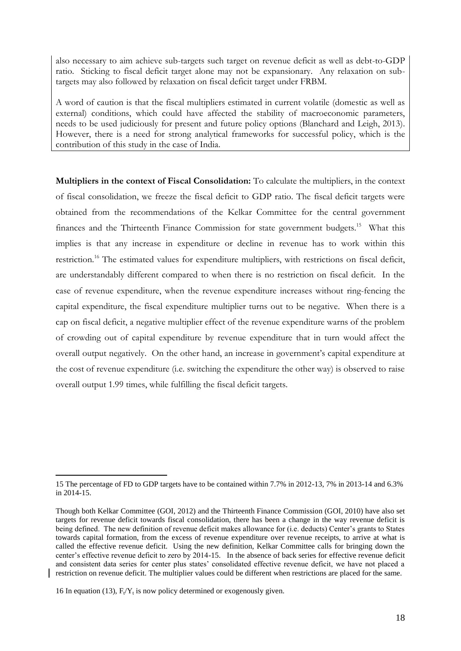also necessary to aim achieve sub-targets such target on revenue deficit as well as debt-to-GDP ratio. Sticking to fiscal deficit target alone may not be expansionary. Any relaxation on subtargets may also followed by relaxation on fiscal deficit target under FRBM.

A word of caution is that the fiscal multipliers estimated in current volatile (domestic as well as external) conditions, which could have affected the stability of macroeconomic parameters, needs to be used judiciously for present and future policy options (Blanchard and Leigh, 2013). However, there is a need for strong analytical frameworks for successful policy, which is the contribution of this study in the case of India.

**Multipliers in the context of Fiscal Consolidation:** To calculate the multipliers, in the context of fiscal consolidation, we freeze the fiscal deficit to GDP ratio. The fiscal deficit targets were obtained from the recommendations of the Kelkar Committee for the central government finances and the Thirteenth Finance Commission for state government budgets.<sup>15</sup> What this implies is that any increase in expenditure or decline in revenue has to work within this restriction.<sup>16</sup> The estimated values for expenditure multipliers, with restrictions on fiscal deficit, are understandably different compared to when there is no restriction on fiscal deficit. In the case of revenue expenditure, when the revenue expenditure increases without ring-fencing the capital expenditure, the fiscal expenditure multiplier turns out to be negative. When there is a cap on fiscal deficit, a negative multiplier effect of the revenue expenditure warns of the problem of crowding out of capital expenditure by revenue expenditure that in turn would affect the overall output negatively. On the other hand, an increase in government"s capital expenditure at the cost of revenue expenditure (i.e. switching the expenditure the other way) is observed to raise overall output 1.99 times, while fulfilling the fiscal deficit targets.

<sup>15</sup> The percentage of FD to GDP targets have to be contained within 7.7% in 2012-13, 7% in 2013-14 and 6.3% in 2014-15.

Though both Kelkar Committee (GOI, 2012) and the Thirteenth Finance Commission (GOI, 2010) have also set targets for revenue deficit towards fiscal consolidation, there has been a change in the way revenue deficit is being defined. The new definition of revenue deficit makes allowance for (i.e. deducts) Center's grants to States towards capital formation, from the excess of revenue expenditure over revenue receipts, to arrive at what is called the effective revenue deficit. Using the new definition, Kelkar Committee calls for bringing down the center's effective revenue deficit to zero by 2014-15. In the absence of back series for effective revenue deficit and consistent data series for center plus states' consolidated effective revenue deficit, we have not placed a restriction on revenue deficit. The multiplier values could be different when restrictions are placed for the same.

<sup>16</sup> In equation (13),  $F_t/Y_t$  is now policy determined or exogenously given.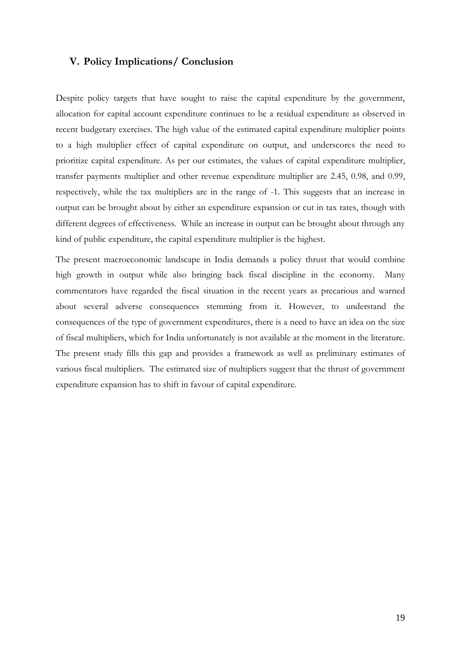## **V. Policy Implications/ Conclusion**

Despite policy targets that have sought to raise the capital expenditure by the government, allocation for capital account expenditure continues to be a residual expenditure as observed in recent budgetary exercises. The high value of the estimated capital expenditure multiplier points to a high multiplier effect of capital expenditure on output, and underscores the need to prioritize capital expenditure. As per our estimates, the values of capital expenditure multiplier, transfer payments multiplier and other revenue expenditure multiplier are 2.45, 0.98, and 0.99, respectively, while the tax multipliers are in the range of -1. This suggests that an increase in output can be brought about by either an expenditure expansion or cut in tax rates, though with different degrees of effectiveness. While an increase in output can be brought about through any kind of public expenditure, the capital expenditure multiplier is the highest.

The present macroeconomic landscape in India demands a policy thrust that would combine high growth in output while also bringing back fiscal discipline in the economy. Many commentators have regarded the fiscal situation in the recent years as precarious and warned about several adverse consequences stemming from it. However, to understand the consequences of the type of government expenditures, there is a need to have an idea on the size of fiscal multipliers, which for India unfortunately is not available at the moment in the literature. The present study fills this gap and provides a framework as well as preliminary estimates of various fiscal multipliers. The estimated size of multipliers suggest that the thrust of government expenditure expansion has to shift in favour of capital expenditure.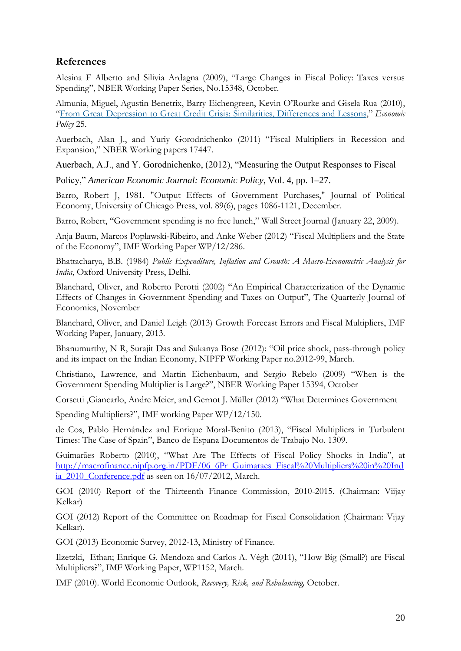# **References**

Alesina F Alberto and Silivia Ardagna (2009), "Large Changes in Fiscal Policy: Taxes versus Spending", NBER Working Paper Series, No.15348, October.

Almunia, Miguel, Agustin Benetrix, Barry Eichengreen, Kevin O"Rourke and Gisela Rua (2010), "From Great Depression to Great Credit Crisis: Similarities, [Differences](http://onlinelibrary.wiley.com/doi/10.1111/j.1468-0327.2010.00242.x/full) and Lessons," *Economic Policy* 25.

Auerbach, Alan J., and Yuriy Gorodnichenko (2011) "Fiscal Multipliers in Recession and Expansion," NBER Working papers 17447.

Auerbach, A.J., and Y. Gorodnichenko, (2012), "Measuring the Output Responses to Fiscal

Policy," *American Economic Journal: Economic Policy*, Vol. 4, pp. 1–27.

Barro, Robert J, 1981. "Output Effects of Government Purchases," Journal of Political Economy, University of Chicago Press, vol. 89(6), pages 1086-1121, December.

Barro, Robert, "Government spending is no free lunch," Wall Street Journal (January 22, 2009).

Anja Baum, Marcos Poplawski-Ribeiro, and Anke Weber (2012) "Fiscal Multipliers and the State of the Economy", IMF Working Paper WP/12/286.

Bhattacharya, B.B. (1984) *Public Expenditure, Inflation and Growth: A Macro-Econometric Analysis for India*, Oxford University Press, Delhi.

Blanchard, Oliver, and Roberto Perotti (2002) "An Empirical Characterization of the Dynamic Effects of Changes in Government Spending and Taxes on Output", The Quarterly Journal of Economics, November

Blanchard, Oliver, and Daniel Leigh (2013) Growth Forecast Errors and Fiscal Multipliers, IMF Working Paper, January, 2013.

Bhanumurthy, N R, Surajit Das and Sukanya Bose (2012): "Oil price shock, pass-through policy and its impact on the Indian Economy, NIPFP Working Paper no.2012-99, March.

Christiano, Lawrence, and Martin Eichenbaum, and Sergio Rebelo (2009) "When is the Government Spending Multiplier is Large?", NBER Working Paper 15394, October

Corsetti ,Giancarlo, Andre Meier, and Gernot J. Müller (2012) "What Determines Government

Spending Multipliers?", IMF working Paper WP/12/150.

de Cos, Pablo Hernández and Enrique Moral-Benito (2013), "Fiscal Multipliers in Turbulent Times: The Case of Spain", Banco de Espana Documentos de Trabajo No. 1309.

Guimarães Roberto (2010), "What Are The Effects of Fiscal Policy Shocks in India", at [http://macrofinance.nipfp.org.in/PDF/06\\_6Pr\\_Guimaraes\\_Fiscal%20Multipliers%20in%20Ind](http://macrofinance.nipfp.org.in/PDF/06_6Pr_Guimaraes_Fiscal%20Multipliers%20in%20India_2010_Conference.pdf) [ia\\_2010\\_Conference.pdf](http://macrofinance.nipfp.org.in/PDF/06_6Pr_Guimaraes_Fiscal%20Multipliers%20in%20India_2010_Conference.pdf) as seen on 16/07/2012, March.

GOI (2010) Report of the Thirteenth Finance Commission, 2010-2015. (Chairman: Viijay Kelkar)

GOI (2012) Report of the Committee on Roadmap for Fiscal Consolidation (Chairman: Vijay Kelkar).

GOI (2013) Economic Survey, 2012-13, Ministry of Finance.

Ilzetzki, Ethan; Enrique G. Mendoza and Carlos A. Végh (2011), "How Big (Small?) are Fiscal Multipliers?", IMF Working Paper, WP1152, March.

IMF (2010). World Economic Outlook, *Recovery, Risk, and Rebalancing,* October.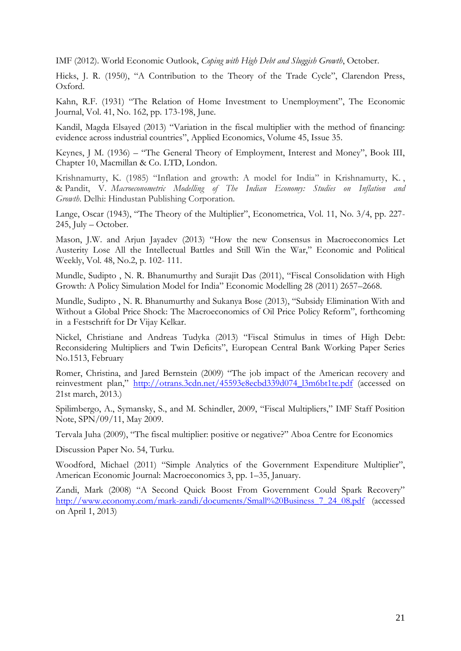IMF (2012). World Economic Outlook, *Coping with High Debt and Sluggish Growth*, October.

Hicks, J. R. (1950), "A Contribution to the Theory of the Trade Cycle", Clarendon Press, Oxford.

Kahn, R.F. (1931) "The Relation of Home Investment to Unemployment", The Economic Journal, Vol. 41, No. 162, pp. 173-198, June.

Kandil, Magda Elsayed (2013) "Variation in the fiscal multiplier with the method of financing: evidence across industrial countries", Applied Economics, Volume 45, Issue 35.

Keynes, J M. (1936) – "The General Theory of Employment, Interest and Money", Book III, Chapter 10, Macmillan & Co. LTD, London.

Krishnamurty, K. (1985) "Inflation and growth: A model for India" in Krishnamurty, K. , & Pandit, V. *Macroeconometric Modelling of The Indian Economy: Studies on Inflation and Growth*. Delhi: Hindustan Publishing Corporation.

Lange, Oscar (1943), "The Theory of the Multiplier", Econometrica, Vol. 11, No. 3/4, pp. 227- 245, July – October.

Mason, J.W. and Arjun Jayadev (2013) "How the new Consensus in Macroeconomics Let Austerity Lose All the Intellectual Battles and Still Win the War," Economic and Political Weekly, Vol. 48, No.2, p. 102- 111.

Mundle, Sudipto , N. R. Bhanumurthy and Surajit Das (2011), "Fiscal Consolidation with High Growth: A Policy Simulation Model for India" Economic Modelling 28 (2011) 2657–2668.

Mundle, Sudipto , N. R. Bhanumurthy and Sukanya Bose (2013), "Subsidy Elimination With and Without a Global Price Shock: The Macroeconomics of Oil Price Policy Reform", forthcoming in a Festschrift for Dr Vijay Kelkar.

Nickel, Christiane and Andreas Tudyka (2013) "Fiscal Stimulus in times of High Debt: Reconsidering Multipliers and Twin Deficits", European Central Bank Working Paper Series No.1513, February

Romer, Christina, and Jared Bernstein (2009) "The job impact of the American recovery and reinvestment plan," [http://otrans.3cdn.net/45593e8ecbd339d074\\_l3m6bt1te.pdf](http://otrans.3cdn.net/45593e8ecbd339d074_l3m6bt1te.pdf) (accessed on 21st march, 2013.)

Spilimbergo, A., Symansky, S., and M. Schindler, 2009, "Fiscal Multipliers," IMF Staff Position Note, SPN/09/11, May 2009.

Tervala Juha (2009), "The fiscal multiplier: positive or negative?" Aboa Centre for Economics

Discussion Paper No. 54, Turku.

Woodford, Michael (2011) "Simple Analytics of the Government Expenditure Multiplier", American Economic Journal: Macroeconomics 3, pp. 1–35, January.

Zandi, Mark (2008) "A Second Quick Boost From Government Could Spark Recovery" [http://www.economy.com/mark-zandi/documents/Small%20Business\\_7\\_24\\_08.pdf](http://www.economy.com/mark-zandi/documents/Small%20Business_7_24_08.pdf) (accessed on April 1, 2013)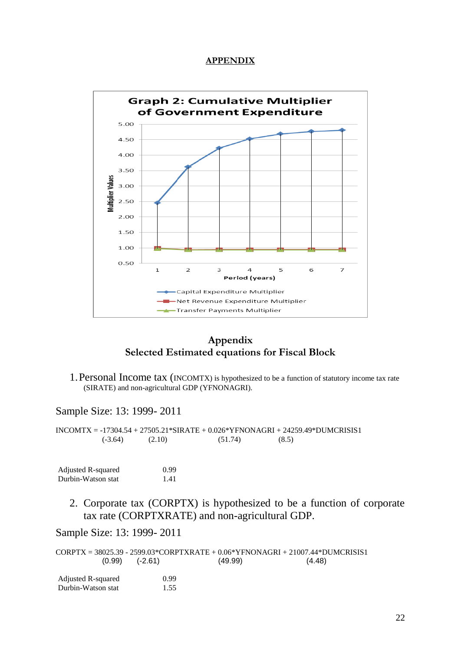#### **APPENDIX**



# **Appendix Selected Estimated equations for Fiscal Block**

1.Personal Income tax (INCOMTX) is hypothesized to be a function of statutory income tax rate (SIRATE) and non-agricultural GDP (YFNONAGRI).

#### Sample Size: 13: 1999- 2011

INCOMTX = -17304.54 + 27505.21\*SIRATE + 0.026\*YFNONAGRI + 24259.49\*DUMCRISIS1  $(6-3.64)$   $(2.10)$   $(51.74)$   $(8.5)$ 

| Adjusted R-squared | 0.99 |
|--------------------|------|
| Durbin-Watson stat | 1.41 |

2. Corporate tax (CORPTX) is hypothesized to be a function of corporate tax rate (CORPTXRATE) and non-agricultural GDP.

Sample Size: 13: 1999- 2011

CORPTX = 38025.39 - 2599.03\*CORPTXRATE + 0.06\*YFNONAGRI + 21007.44\*DUMCRISIS1 (0.99) (-2.61) (49.99) (4.48)

| Adjusted R-squared | 0.99 |
|--------------------|------|
| Durbin-Watson stat | 1.55 |